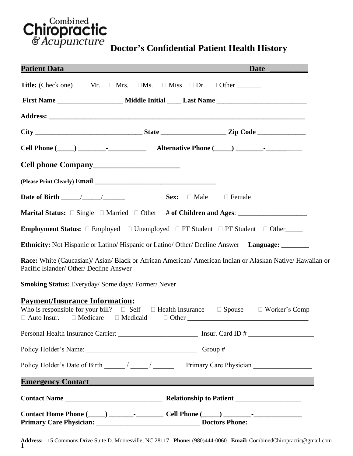

|  | <b>Doctor's Confidential Patient Health History</b> |  |  |  |
|--|-----------------------------------------------------|--|--|--|
|--|-----------------------------------------------------|--|--|--|

| <b>Patient Data</b>                                                                                                                                                                                                            | <b>Date</b>                                                                                               |
|--------------------------------------------------------------------------------------------------------------------------------------------------------------------------------------------------------------------------------|-----------------------------------------------------------------------------------------------------------|
|                                                                                                                                                                                                                                |                                                                                                           |
|                                                                                                                                                                                                                                | First Name ________________________ Middle Initial ______ Last Name ________________________________      |
|                                                                                                                                                                                                                                |                                                                                                           |
|                                                                                                                                                                                                                                |                                                                                                           |
| Cell Phone (Coll 2010) [10] The Cell Phone (Coll 2010) [10] The Cell Phone (Coll 2010) [10] The Cell Phone (Coll 2010) [10] The Cell 2010 [10] The Cell 2010 [10] The Cell 2010 [10] The Cell 2010 [10] The Cell 2010 [10] The |                                                                                                           |
|                                                                                                                                                                                                                                |                                                                                                           |
|                                                                                                                                                                                                                                |                                                                                                           |
|                                                                                                                                                                                                                                | <b>Sex:</b> $\Box$ Male $\Box$ Female                                                                     |
|                                                                                                                                                                                                                                |                                                                                                           |
| <b>Employment Status:</b> $\Box$ Employed $\Box$ Unemployed $\Box$ FT Student $\Box$ PT Student $\Box$ Other                                                                                                                   |                                                                                                           |
|                                                                                                                                                                                                                                | Ethnicity: Not Hispanic or Latino/ Hispanic or Latino/ Other/ Decline Answer Language: _______            |
| Pacific Islander/ Other/ Decline Answer                                                                                                                                                                                        | Race: White (Caucasian)/ Asian/ Black or African American/ American Indian or Alaskan Native/ Hawaiian or |
| <b>Smoking Status:</b> Everyday/ Some days/ Former/ Never                                                                                                                                                                      |                                                                                                           |
| <b>Payment/Insurance Information:</b><br>$\Box$ Auto Insur. $\Box$ Medicare $\Box$ Medicaid $\Box$ Other                                                                                                                       | Who is responsible for your bill? $\Box$ Self $\Box$ Health Insurance $\Box$ Spouse $\Box$ Worker's Comp  |
|                                                                                                                                                                                                                                |                                                                                                           |
|                                                                                                                                                                                                                                |                                                                                                           |
| Policy Holder's Date of Birth $\frac{1}{\sqrt{1-\frac{1}{2}}}\left(1-\frac{1}{2}\right)$                                                                                                                                       |                                                                                                           |
| <b>Emergency Contact</b>                                                                                                                                                                                                       | <u> 1989 - Johann Stein, Amerikaansk politiker (* 1958)</u>                                               |
|                                                                                                                                                                                                                                |                                                                                                           |
| Contact Home Phone $(\_\_\_\_\_\_$ $\_\_\_\_$ Cell Phone $(\_\_\_\_\_\_$                                                                                                                                                       |                                                                                                           |

**Address:** 115 Commons Drive Suite D. Mooresville, NC 28117 **Phone:** (980)444-0060 **Email:** CombinedChiropractic@gmail.com 1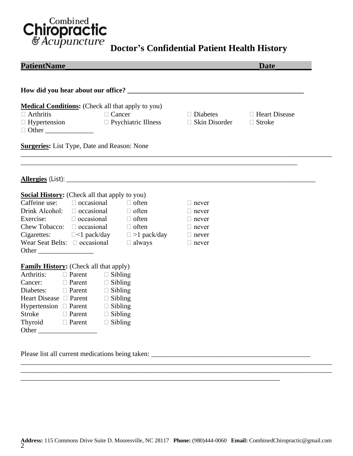

### **Doctor's Confidential Patient Health History**

| <b>PatientName</b>                                                                            |                            |                                    | <b>Date</b>     |
|-----------------------------------------------------------------------------------------------|----------------------------|------------------------------------|-----------------|
|                                                                                               |                            |                                    |                 |
|                                                                                               |                            |                                    |                 |
|                                                                                               |                            |                                    |                 |
| <b>Medical Conditions:</b> (Check all that apply to you)                                      |                            |                                    |                 |
| $\Box$ Arthritis<br>$\Box$ Cancer                                                             |                            | $\Box$ Diabetes                    | □ Heart Disease |
| $\Box$ Hypertension                                                                           | $\Box$ Psychiatric Illness | $\Box$ Skin Disorder $\Box$ Stroke |                 |
|                                                                                               |                            |                                    |                 |
| <b>Surgeries:</b> List Type, Date and Reason: None                                            |                            |                                    |                 |
|                                                                                               |                            |                                    |                 |
|                                                                                               |                            |                                    |                 |
|                                                                                               |                            |                                    |                 |
|                                                                                               |                            |                                    |                 |
|                                                                                               |                            |                                    |                 |
| <b>Social History:</b> (Check all that apply to you)                                          |                            |                                    |                 |
| $\overline{\text{C}}$ affeine use: $\Box$ occasional                                          | $\Box$ often               | $\Box$ never                       |                 |
| Drink Alcohol: $\square$ occasional                                                           | $\Box$ often               | $\Box$ never                       |                 |
| $\Box$ occasional<br>Exercise:                                                                | $\Box$ often               | $\Box$ never                       |                 |
| Chew Tobacco: $\Box$ occasional $\Box$ often                                                  |                            | $\Box$ never                       |                 |
| Cigarettes: $\square$ <1 pack/day $\square$ >1 pack/day<br>Wear Seat Belts: $\Box$ occasional | $\Box$ always              | $\Box$ never                       |                 |
|                                                                                               |                            | $\Box$ never                       |                 |
|                                                                                               |                            |                                    |                 |
| <b>Family History:</b> (Check all that apply)                                                 |                            |                                    |                 |
| Arthritis: □ Parent<br>$\Box$ Sibling                                                         |                            |                                    |                 |
| $\Box$ Sibling<br>Cancer: <b>Deparent</b>                                                     |                            |                                    |                 |
| $\Box$ Sibling<br>Diabetes:<br>$\Box$ Parent                                                  |                            |                                    |                 |
| Heart Disease <sub>D</sub> Parent<br>$\Box$ Sibling                                           |                            |                                    |                 |
| Hypertension $\Box$ Parent<br>$\Box$ Sibling                                                  |                            |                                    |                 |
| Stroke <b>D</b> Parent<br>$\Box$ Sibling                                                      |                            |                                    |                 |
| Thyroid $\Box$ Parent<br>$\Box$ Sibling                                                       |                            |                                    |                 |
|                                                                                               |                            |                                    |                 |
|                                                                                               |                            |                                    |                 |

Please list all current medications being taken: \_\_\_\_\_\_\_\_\_\_\_\_\_\_\_\_\_\_\_\_\_\_\_\_\_\_\_\_\_\_\_\_\_\_\_\_\_\_\_\_\_\_\_\_\_\_

\_\_\_\_\_\_\_\_\_\_\_\_\_\_\_\_\_\_\_\_\_\_\_\_\_\_\_\_\_\_\_\_\_\_\_\_\_\_\_\_\_\_\_\_\_\_\_\_\_\_\_\_\_\_\_\_\_\_\_\_\_\_\_\_\_\_\_\_\_\_\_\_\_\_\_\_\_\_\_\_\_\_\_\_\_\_\_\_\_\_ \_\_\_\_\_\_\_\_\_\_\_\_\_\_\_\_\_\_\_\_\_\_\_\_\_\_\_\_\_\_\_\_\_\_\_\_\_\_\_\_\_\_\_\_\_\_\_\_\_\_\_\_\_\_\_\_\_\_\_\_\_\_\_\_\_\_\_\_\_\_\_\_\_\_\_\_\_\_\_\_\_\_\_\_\_\_\_\_\_\_

\_\_\_\_\_\_\_\_\_\_\_\_\_\_\_\_\_\_\_\_\_\_\_\_\_\_\_\_\_\_\_\_\_\_\_\_\_\_\_\_\_\_\_\_\_\_\_\_\_\_\_\_\_\_\_\_\_\_\_\_\_\_\_\_\_\_\_\_\_\_\_\_\_\_\_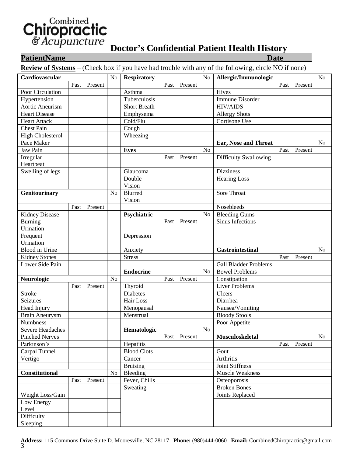# Chiropractic<br>
& Acupuncture

### **Doctor's Confidential Patient Health History**

#### **PatientName\_\_\_\_\_\_\_\_\_\_\_\_\_\_\_\_\_\_\_\_\_\_\_\_\_\_\_\_\_\_\_\_\_\_\_\_\_\_\_\_\_\_\_\_\_\_\_\_\_\_Date\_\_\_\_\_\_\_**

**Review of Systems** – (Check box if you have had trouble with any of the following, circle NO if none)

| Cardiovascular          |      | N <sub>o</sub> | <b>Respiratory</b> |                     | No   | Allergic/Immunologic |                 |                              | N <sub>o</sub> |         |                |
|-------------------------|------|----------------|--------------------|---------------------|------|----------------------|-----------------|------------------------------|----------------|---------|----------------|
|                         | Past | Present        |                    |                     | Past | Present              |                 |                              | Past           | Present |                |
| Poor Circulation        |      |                |                    | Asthma              |      |                      |                 | Hives                        |                |         |                |
| Hypertension            |      |                |                    | Tuberculosis        |      |                      |                 | <b>Immune Disorder</b>       |                |         |                |
| Aortic Aneurism         |      |                |                    | <b>Short Breath</b> |      |                      |                 | <b>HIV/AIDS</b>              |                |         |                |
| <b>Heart Disease</b>    |      |                |                    | Emphysema           |      |                      |                 | <b>Allergy Shots</b>         |                |         |                |
| <b>Heart Attack</b>     |      |                |                    | Cold/Flu            |      |                      |                 | Cortisone Use                |                |         |                |
| <b>Chest Pain</b>       |      |                |                    | Cough               |      |                      |                 |                              |                |         |                |
| <b>High Cholesterol</b> |      |                |                    | Wheezing            |      |                      |                 |                              |                |         |                |
| Pace Maker              |      |                |                    |                     |      |                      |                 | Ear, Nose and Throat         |                |         | N <sub>o</sub> |
| Jaw Pain                |      |                |                    | <b>Eyes</b>         |      |                      | N <sub>o</sub>  |                              | Past           | Present |                |
| Irregular               |      |                |                    |                     | Past | Present              |                 | <b>Difficulty Swallowing</b> |                |         |                |
| Heartbeat               |      |                |                    |                     |      |                      |                 |                              |                |         |                |
| Swelling of legs        |      |                |                    | Glaucoma            |      |                      |                 | <b>Dizziness</b>             |                |         |                |
|                         |      |                |                    | Double              |      |                      |                 | <b>Hearing Loss</b>          |                |         |                |
|                         |      |                |                    | Vision              |      |                      |                 |                              |                |         |                |
| Genitourinary           |      |                | N <sub>o</sub>     | Blurred             |      |                      |                 | Sore Throat                  |                |         |                |
|                         |      |                |                    | Vision              |      |                      |                 |                              |                |         |                |
|                         | Past | Present        |                    |                     |      |                      |                 | Nosebleeds                   |                |         |                |
| <b>Kidney Disease</b>   |      |                |                    | Psychiatric         |      |                      | N <sub>o</sub>  | <b>Bleeding Gums</b>         |                |         |                |
| <b>Burning</b>          |      |                |                    |                     | Past | Present              |                 | <b>Sinus Infections</b>      |                |         |                |
| Urination               |      |                |                    |                     |      |                      |                 |                              |                |         |                |
| Frequent                |      |                |                    | Depression          |      |                      |                 |                              |                |         |                |
| Urination               |      |                |                    |                     |      |                      |                 |                              |                |         |                |
| <b>Blood</b> in Urine   |      |                |                    | Anxiety             |      |                      |                 | <b>Gastrointestinal</b>      |                |         | N <sub>o</sub> |
| Kidney Stones           |      |                |                    | <b>Stress</b>       |      |                      |                 |                              | Past           | Present |                |
| Lower Side Pain         |      |                |                    |                     |      |                      |                 | <b>Gall Bladder Problems</b> |                |         |                |
|                         |      |                |                    | <b>Endocrine</b>    |      |                      | N <sub>o</sub>  | <b>Bowel Problems</b>        |                |         |                |
| <b>Neurologic</b>       |      |                | N <sub>o</sub>     |                     | Past | Present              |                 | Constipation                 |                |         |                |
|                         | Past | Present        |                    | Thyroid             |      |                      |                 | <b>Liver Problems</b>        |                |         |                |
| Stroke                  |      |                |                    | <b>Diabetes</b>     |      |                      |                 | Ulcers                       |                |         |                |
| Seizures                |      |                |                    | Hair Loss           |      |                      |                 | Diarrhea                     |                |         |                |
| Head Injury             |      |                |                    | Menopausal          |      |                      |                 | Nausea/Vomiting              |                |         |                |
| <b>Brain Aneurysm</b>   |      |                |                    | Menstrual           |      |                      |                 | <b>Bloody Stools</b>         |                |         |                |
| Numbness                |      |                |                    |                     |      |                      |                 | Poor Appetite                |                |         |                |
| Severe Headaches        |      |                |                    | Hematologic         |      |                      | N <sub>o</sub>  |                              |                |         |                |
| <b>Pinched Nerves</b>   |      |                |                    |                     | Past | Present              |                 | Musculoskeletal              |                |         | N <sub>o</sub> |
| Parkinson's             |      |                |                    | Hepatitis           |      |                      |                 |                              | Past           | Present |                |
| Carpal Tunnel           |      |                |                    | <b>Blood Clots</b>  |      |                      |                 | Gout                         |                |         |                |
| Vertigo                 |      |                |                    | Cancer              |      |                      |                 | Arthritis                    |                |         |                |
|                         |      |                |                    | <b>Bruising</b>     |      |                      |                 | Joint Stiffness              |                |         |                |
| Constitutional          |      | No             | Bleeding           |                     |      |                      | Muscle Weakness |                              |                |         |                |
|                         | Past | Present        |                    | Fever, Chills       |      |                      |                 | Osteoporosis                 |                |         |                |
|                         |      |                |                    | Sweating            |      |                      |                 | <b>Broken Bones</b>          |                |         |                |
| Weight Loss/Gain        |      |                |                    |                     |      |                      |                 | Joints Replaced              |                |         |                |
| Low Energy              |      |                |                    |                     |      |                      |                 |                              |                |         |                |
| Level                   |      |                |                    |                     |      |                      |                 |                              |                |         |                |
| Difficulty              |      |                |                    |                     |      |                      |                 |                              |                |         |                |
| Sleeping                |      |                |                    |                     |      |                      |                 |                              |                |         |                |
|                         |      |                |                    |                     |      |                      |                 |                              |                |         |                |